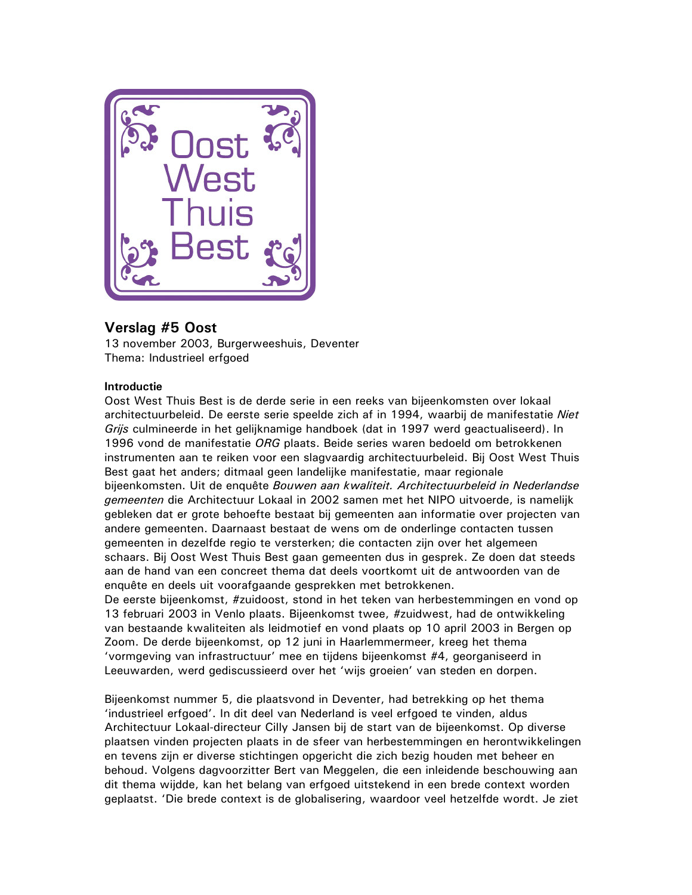

# Verslag #5 Oost

13 november 2003, Burgerweeshuis, Deventer Thema: Industrieel erfgoed

## **Introductie**

Oost West Thuis Best is de derde serie in een reeks van bijeenkomsten over lokaal architectuurbeleid. De eerste serie speelde zich af in 1994, waarbij de manifestatie Niet Grijs culmineerde in het gelijknamige handboek (dat in 1997 werd geactualiseerd). In 1996 vond de manifestatie ORG plaats. Beide series waren bedoeld om betrokkenen instrumenten aan te reiken voor een slagvaardig architectuurbeleid. Bij Oost West Thuis Best gaat het anders; ditmaal geen landelijke manifestatie, maar regionale bijeenkomsten. Uit de enguête Bouwen aan kwaliteit. Architectuurbeleid in Nederlandse gemeenten die Architectuur Lokaal in 2002 samen met het NIPO uitvoerde, is namelijk gebleken dat er grote behoefte bestaat bij gemeenten aan informatie over projecten van andere gemeenten. Daarnaast bestaat de wens om de onderlinge contacten tussen gemeenten in dezelfde regio te versterken; die contacten zijn over het algemeen schaars. Bij Oost West Thuis Best gaan gemeenten dus in gesprek. Ze doen dat steeds aan de hand van een concreet thema dat deels voortkomt uit de antwoorden van de enguête en deels uit voorafgaande gesprekken met betrokkenen.

De eerste bijeenkomst, #zuidoost, stond in het teken van herbestemmingen en vond op 13 februari 2003 in Venlo plaats. Bijeenkomst twee, #zuidwest, had de ontwikkeling van bestaande kwaliteiten als leidmotief en vond plaats op 10 april 2003 in Bergen op Zoom. De derde bijeenkomst, op 12 juni in Haarlemmermeer, kreeg het thema 'vormgeving van infrastructuur' mee en tijdens bijeenkomst #4, georganiseerd in Leeuwarden, werd gediscussieerd over het 'wijs groeien' van steden en dorpen.

Bijeenkomst nummer 5, die plaatsvond in Deventer, had betrekking op het thema 'industrieel erfgoed'. In dit deel van Nederland is veel erfgoed te vinden, aldus Architectuur Lokaal-directeur Cilly Jansen bij de start van de bijeenkomst. Op diverse plaatsen vinden projecten plaats in de sfeer van herbestemmingen en herontwikkelingen en tevens zijn er diverse stichtingen opgericht die zich bezig houden met beheer en behoud. Volgens dagvoorzitter Bert van Meggelen, die een inleidende beschouwing aan dit thema wijdde, kan het belang van erfgoed uitstekend in een brede context worden geplaatst. 'Die brede context is de globalisering, waardoor veel hetzelfde wordt. Je ziet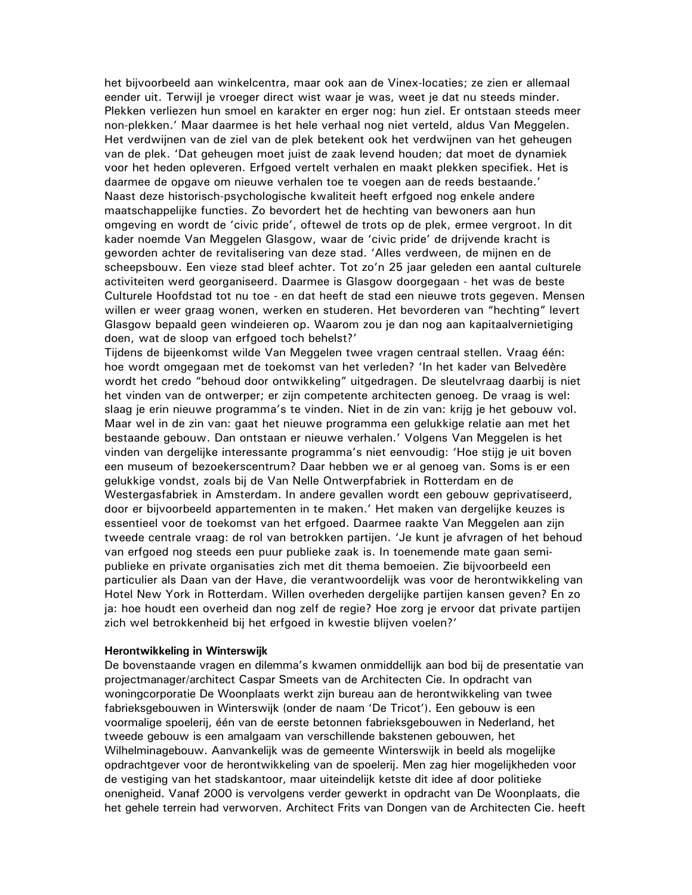het bijvoorbeeld aan winkelcentra, maar ook aan de Vinex-locaties; ze zien er allemaal eender uit. Terwijl je vroeger direct wist waar je was, weet je dat nu steeds minder. Plekken verliezen hun smoel en karakter en erger nog: hun ziel. Er ontstaan steeds meer non-plekken.' Maar daarmee is het hele verhaal nog niet verteld, aldus Van Meggelen. Het verdwijnen van de ziel van de plek betekent ook het verdwijnen van het geheugen van de plek. 'Dat geheugen moet juist de zaak levend houden; dat moet de dynamiek voor het heden opleveren. Erfgoed vertelt verhalen en maakt plekken specifiek. Het is daarmee de opgave om nieuwe verhalen toe te voegen aan de reeds bestaande.' Naast deze historisch-psychologische kwaliteit heeft erfgoed nog enkele andere maatschappelijke functies. Zo bevordert het de hechting van bewoners aan hun omgeving en wordt de 'civic pride', oftewel de trots op de plek, ermee vergroot. In dit kader noemde Van Meggelen Glasgow, waar de 'civic pride' de drijvende kracht is geworden achter de revitalisering van deze stad. 'Alles verdween, de mijnen en de scheepsbouw. Een vieze stad bleef achter. Tot zo'n 25 jaar geleden een aantal culturele activiteiten werd georganiseerd. Daarmee is Glasgow doorgegaan - het was de beste Culturele Hoofdstad tot nu toe - en dat heeft de stad een nieuwe trots gegeven. Mensen willen er weer graag wonen, werken en studeren. Het bevorderen van "hechting" levert Glasgow bepaald geen windeieren op. Waarom zou je dan nog aan kapitaalvernietiging doen, wat de sloop van erfgoed toch behelst?'

Tijdens de bijeenkomst wilde Van Meggelen twee vragen centraal stellen. Vraag één: hoe wordt omgegaan met de toekomst van het verleden? 'In het kader van Belvedère wordt het credo "behoud door ontwikkeling" uitgedragen. De sleutelvraag daarbij is niet het vinden van de ontwerper; er zijn competente architecten genoeg. De vraag is wel: slaag je erin nieuwe programma's te vinden. Niet in de zin van: krijg je het gebouw vol. Maar wel in de zin van: gaat het nieuwe programma een gelukkige relatie aan met het bestaande gebouw. Dan ontstaan er nieuwe verhalen.' Volgens Van Meggelen is het vinden van dergelijke interessante programma's niet eenvoudig: 'Hoe stijg je uit boven een museum of bezoekerscentrum? Daar hebben we er al genoeg van. Soms is er een gelukkige vondst, zoals bij de Van Nelle Ontwerpfabriek in Rotterdam en de Westergasfabriek in Amsterdam. In andere gevallen wordt een gebouw geprivatiseerd, door er bijvoorbeeld appartementen in te maken.' Het maken van dergelijke keuzes is essentieel voor de toekomst van het erfgoed. Daarmee raakte Van Meggelen aan zijn tweede centrale vraag: de rol van betrokken partijen. 'Je kunt je afvragen of het behoud van erfgoed nog steeds een puur publieke zaak is. In toenemende mate gaan semipublieke en private organisaties zich met dit thema bemoeien. Zie bijvoorbeeld een particulier als Daan van der Have, die verantwoordelijk was voor de herontwikkeling van Hotel New York in Rotterdam. Willen overheden dergelijke partijen kansen geven? En zo ja: hoe houdt een overheid dan nog zelf de regie? Hoe zorg je ervoor dat private partijen zich wel betrokkenheid bij het erfgoed in kwestie blijven voelen?'

#### Herontwikkeling in Winterswijk

De bovenstaande vragen en dilemma's kwamen onmiddellijk aan bod bij de presentatie van projectmanager/architect Caspar Smeets van de Architecten Cie. In opdracht van woningcorporatie De Woonplaats werkt zijn bureau aan de herontwikkeling van twee fabrieksgebouwen in Winterswijk (onder de naam 'De Tricot'). Een gebouw is een voormalige spoelerij, één van de eerste betonnen fabrieksgebouwen in Nederland, het tweede gebouw is een amalgaam van verschillende bakstenen gebouwen, het Wilhelminagebouw. Aanvankelijk was de gemeente Winterswijk in beeld als mogelijke opdrachtgever voor de herontwikkeling van de spoelerij. Men zag hier mogelijkheden voor de vestiging van het stadskantoor, maar uiteindelijk ketste dit idee af door politieke onenigheid. Vanaf 2000 is vervolgens verder gewerkt in opdracht van De Woonplaats, die het gehele terrein had verworven. Architect Frits van Dongen van de Architecten Cie. heeft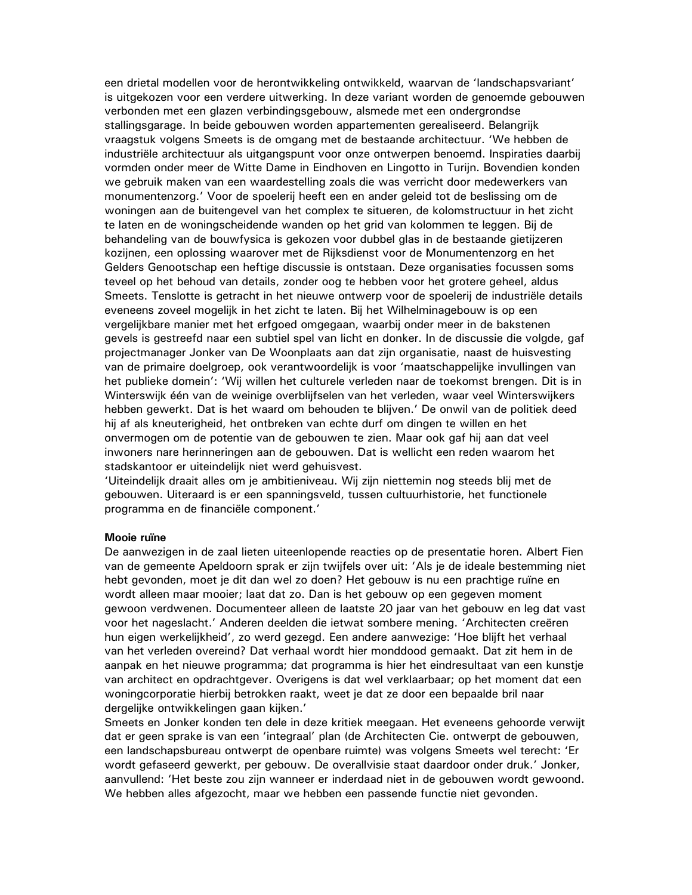een drietal modellen voor de herontwikkeling ontwikkeld, waarvan de 'landschapsvariant' is uitgekozen voor een verdere uitwerking. In deze variant worden de genoemde gebouwen verbonden met een glazen verbindingsgebouw, alsmede met een ondergrondse stallingsgarage. In beide gebouwen worden appartementen gerealiseerd. Belangrijk vraagstuk volgens Smeets is de omgang met de bestaande architectuur. 'We hebben de industriële architectuur als uitgangspunt voor onze ontwerpen benoemd. Inspiraties daarbij vormden onder meer de Witte Dame in Eindhoven en Lingotto in Turijn. Bovendien konden we gebruik maken van een waardestelling zoals die was verricht door medewerkers van monumentenzorg.' Voor de spoelerij heeft een en ander geleid tot de beslissing om de woningen aan de buitengevel van het complex te situeren, de kolomstructuur in het zicht te laten en de woningscheidende wanden op het grid van kolommen te leggen. Bij de behandeling van de bouwfysica is gekozen voor dubbel glas in de bestaande gietijzeren kozijnen, een oplossing waarover met de Rijksdienst voor de Monumentenzorg en het Gelders Genootschap een heftige discussie is ontstaan. Deze organisaties focussen soms teveel op het behoud van details, zonder oog te hebben voor het grotere geheel, aldus Smeets. Tenslotte is getracht in het nieuwe ontwerp voor de spoelerij de industriële details eveneens zoveel mogelijk in het zicht te laten. Bij het Wilhelminagebouw is op een vergelijkbare manier met het erfgoed omgegaan, waarbij onder meer in de bakstenen gevels is gestreefd naar een subtiel spel van licht en donker. In de discussie die volgde, gaf projectmanager Jonker van De Woonplaats aan dat zijn organisatie, naast de huisvesting van de primaire doelgroep, ook verantwoordelijk is voor 'maatschappelijke invullingen van het publieke domein': 'Wij willen het culturele verleden naar de toekomst brengen. Dit is in Winterswijk één van de weinige overblijfselen van het verleden, waar veel Winterswijkers hebben gewerkt. Dat is het waard om behouden te blijven.' De onwil van de politiek deed hij af als kneuterigheid, het ontbreken van echte durf om dingen te willen en het onvermogen om de potentie van de gebouwen te zien. Maar ook gaf hij aan dat veel inwoners nare herinneringen aan de gebouwen. Dat is wellicht een reden waarom het stadskantoor er uiteindelijk niet werd gehuisvest.

Uiteindelijk draait alles om je ambitieniveau. Wij zijn niettemin nog steeds blij met de gebouwen. Uiteraard is er een spanningsveld, tussen cultuurhistorie, het functionele programma en de financiële component.'

#### Mooie ruïne

De aanwezigen in de zaal lieten uiteenlopende reacties op de presentatie horen. Albert Fien van de gemeente Apeldoorn sprak er zijn twijfels over uit: 'Als je de ideale bestemming niet hebt gevonden, moet je dit dan wel zo doen? Het gebouw is nu een prachtige ruïne en wordt alleen maar mooier; laat dat zo. Dan is het gebouw op een gegeven moment gewoon verdwenen. Documenteer alleen de laatste 20 jaar van het gebouw en leg dat vast voor het nageslacht.' Anderen deelden die ietwat sombere mening. 'Architecten creëren hun eigen werkelijkheid', zo werd gezegd. Een andere aanwezige: 'Hoe blijft het verhaal van het verleden overeind? Dat verhaal wordt hier monddood gemaakt. Dat zit hem in de aanpak en het nieuwe programma; dat programma is hier het eindresultaat van een kunstje van architect en opdrachtgever. Overigens is dat wel verklaarbaar; op het moment dat een woningcorporatie hierbij betrokken raakt, weet je dat ze door een bepaalde bril naar dergelijke ontwikkelingen gaan kijken.'

Smeets en Jonker konden ten dele in deze kritiek meegaan. Het eveneens gehoorde verwijt dat er geen sprake is van een 'integraal' plan (de Architecten Cie, ontwerpt de gebouwen, een landschapsbureau ontwerpt de openbare ruimte) was volgens Smeets wel terecht: 'Er wordt gefaseerd gewerkt, per gebouw. De overallvisie staat daardoor onder druk.' Jonker, aanvullend: 'Het beste zou zijn wanneer er inderdaad niet in de gebouwen wordt gewoond. We hebben alles afgezocht, maar we hebben een passende functie niet gevonden.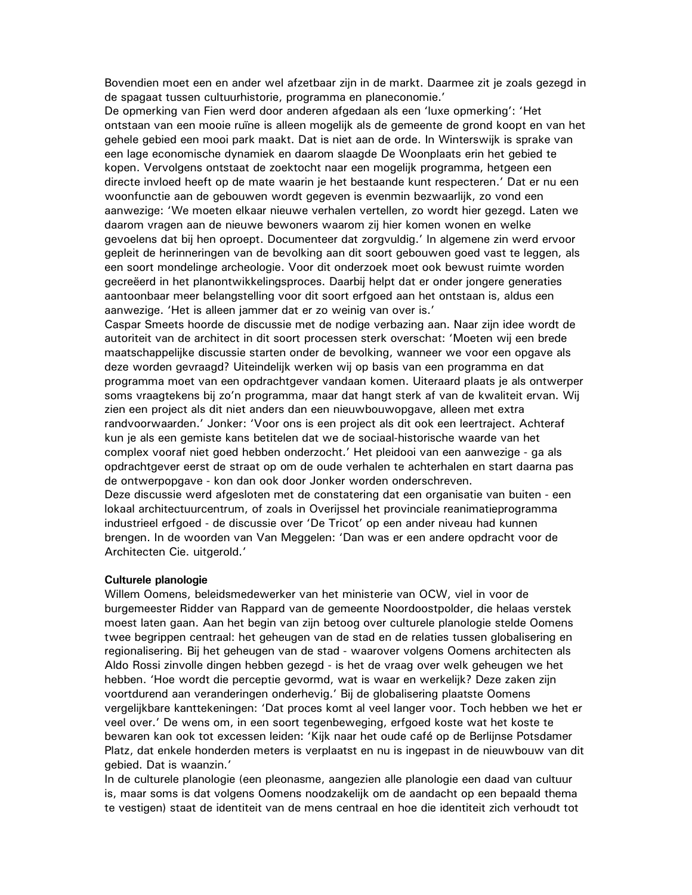Bovendien moet een en ander wel afzetbaar zijn in de markt. Daarmee zit je zoals gezegd in de spagaat tussen cultuurhistorie, programma en planeconomie.'

De opmerking van Fien werd door anderen afgedaan als een 'luxe opmerking': 'Het ontstaan van een mooie ruïne is alleen mogelijk als de gemeente de grond koopt en van het gehele gebied een mooi park maakt. Dat is niet aan de orde. In Winterswijk is sprake van een lage economische dynamiek en daarom slaagde De Woonplaats erin het gebied te kopen. Vervolgens ontstaat de zoektocht naar een mogelijk programma, hetgeen een directe invloed heeft op de mate waarin je het bestaande kunt respecteren.' Dat er nu een woonfunctie aan de gebouwen wordt gegeven is evenmin bezwaarlijk, zo vond een aanwezige: 'We moeten elkaar nieuwe verhalen vertellen, zo wordt hier gezegd. Laten we daarom vragen aan de nieuwe bewoners waarom zij hier komen wonen en welke gevoelens dat bij hen oproept. Documenteer dat zorgvuldig.' In algemene zin werd ervoor gepleit de herinneringen van de bevolking aan dit soort gebouwen goed vast te leggen, als een soort mondelinge archeologie. Voor dit onderzoek moet ook bewust ruimte worden gecreëerd in het planontwikkelingsproces. Daarbij helpt dat er onder jongere generaties aantoonbaar meer belangstelling voor dit soort erfgoed aan het ontstaan is, aldus een aanwezige. 'Het is alleen jammer dat er zo weinig van over is.'

Caspar Smeets hoorde de discussie met de nodige verbazing aan. Naar zijn idee wordt de autoriteit van de architect in dit soort processen sterk overschat: 'Moeten wij een brede maatschappelijke discussie starten onder de bevolking, wanneer we voor een opgave als deze worden gevraagd? Uiteindelijk werken wij op basis van een programma en dat programma moet van een opdrachtgever vandaan komen. Uiteraard plaats je als ontwerper soms vraagtekens bij zo'n programma, maar dat hangt sterk af van de kwaliteit ervan. Wij zien een project als dit niet anders dan een nieuwbouwopgave, alleen met extra randvoorwaarden.' Jonker: 'Voor ons is een project als dit ook een leertraject. Achteraf kun je als een gemiste kans betitelen dat we de sociaal-historische waarde van het complex vooraf niet goed hebben onderzocht.' Het pleidooi van een aanwezige - ga als opdrachtgever eerst de straat op om de oude verhalen te achterhalen en start daarna pas de ontwerpopgave - kon dan ook door Jonker worden onderschreven. Deze discussie werd afgesloten met de constatering dat een organisatie van buiten - een lokaal architectuurcentrum, of zoals in Overijssel het provinciale reanimatieprogramma industrieel erfgoed - de discussie over 'De Tricot' op een ander niveau had kunnen brengen. In de woorden van Van Meggelen: 'Dan was er een andere opdracht voor de Architecten Cie. uitgerold.'

#### Culturele planologie

Willem Oomens, beleidsmedewerker van het ministerie van OCW, viel in voor de burgemeester Ridder van Rappard van de gemeente Noordoostpolder, die helaas verstek moest laten gaan. Aan het begin van zijn betoog over culturele planologie stelde Oomens twee begrippen centraal: het geheugen van de stad en de relaties tussen globalisering en regionalisering. Bij het geheugen van de stad - waarover volgens Oomens architecten als Aldo Rossi zinvolle dingen hebben gezegd - is het de vraag over welk geheugen we het hebben. 'Hoe wordt die perceptie gevormd, wat is waar en werkelijk? Deze zaken zijn voortdurend aan veranderingen onderhevig.' Bij de globalisering plaatste Oomens vergelijkbare kanttekeningen: 'Dat proces komt al veel langer voor. Toch hebben we het er veel over.' De wens om, in een soort tegenbeweging, erfgoed koste wat het koste te bewaren kan ook tot excessen leiden: 'Kijk naar het oude café op de Berlijnse Potsdamer Platz, dat enkele honderden meters is verplaatst en nu is ingepast in de nieuwbouw van dit gebied. Dat is waanzin.'

In de culturele planologie (een pleonasme, aangezien alle planologie een daad van cultuur is, maar soms is dat volgens Oomens noodzakelijk om de aandacht op een bepaald thema te vestigen) staat de identiteit van de mens centraal en hoe die identiteit zich verhoudt tot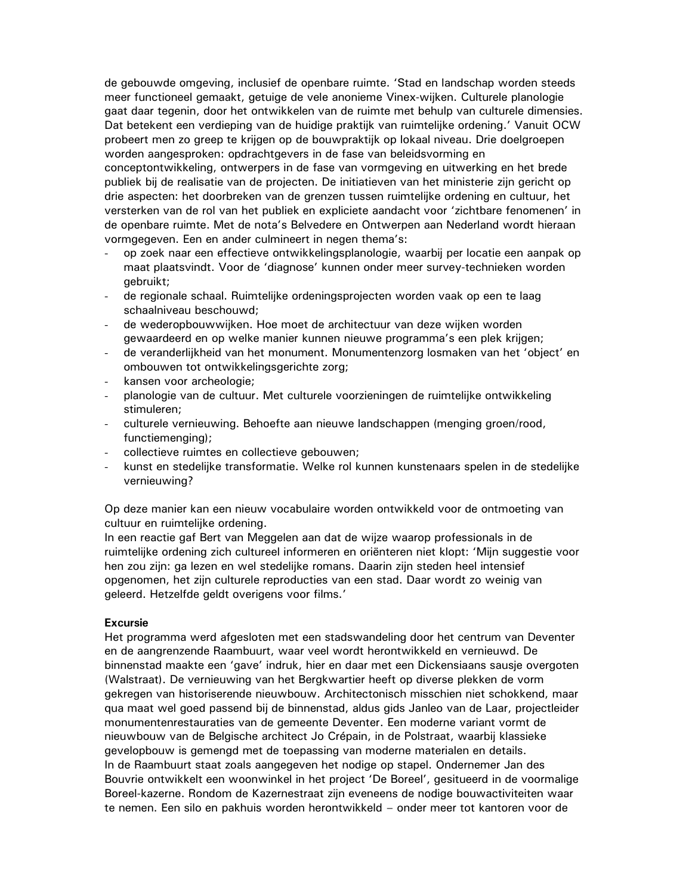de gebouwde omgeving, inclusief de openbare ruimte. 'Stad en landschap worden steeds meer functioneel gemaakt, getuige de vele anonieme Vinex-wijken. Culturele planologie gaat daar tegenin, door het ontwikkelen van de ruimte met behulp van culturele dimensies. Dat betekent een verdieping van de huidige praktijk van ruimtelijke ordening.' Vanuit OCW probeert men zo greep te krijgen op de bouwpraktijk op lokaal niveau. Drie doelgroepen worden aangesproken: opdrachtgevers in de fase van beleidsvorming en conceptontwikkeling, ontwerpers in de fase van vormgeving en uitwerking en het brede publiek bij de realisatie van de projecten. De initiatieven van het ministerie zijn gericht op drie aspecten: het doorbreken van de grenzen tussen ruimtelijke ordening en cultuur, het versterken van de rol van het publiek en expliciete aandacht voor 'zichtbare fenomenen' in de openbare ruimte. Met de nota's Belvedere en Ontwerpen aan Nederland wordt hieraan vormgegeven. Een en ander culmineert in negen thema's:

- op zoek naar een effectieve ontwikkelingsplanologie, waarbij per locatie een aanpak op maat plaatsvindt. Voor de 'diagnose' kunnen onder meer survey-technieken worden aebruikt:
- de regionale schaal. Ruimtelijke ordeningsprojecten worden vaak op een te laag schaalniveau beschouwd;
- de wederopbouwwijken. Hoe moet de architectuur van deze wijken worden gewaardeerd en op welke manier kunnen nieuwe programma's een plek krijgen;
- de veranderlijkheid van het monument. Monumentenzorg losmaken van het 'object' en  $\omega_{\rm{max}}$ ombouwen tot ontwikkelingsgerichte zorg;
- kansen voor archeologie;
- planologie van de cultuur. Met culturele voorzieningen de ruimtelijke ontwikkeling  $\omega_{\rm{max}}$ stimuleren:
- culturele vernieuwing. Behoefte aan nieuwe landschappen (menging groen/rood, functiemenging);
- collectieve ruimtes en collectieve gebouwen;
- kunst en stedelijke transformatie. Welke rol kunnen kunstenaars spelen in de stedelijke vernieuwing?

Op deze manier kan een nieuw vocabulaire worden ontwikkeld voor de ontmoeting van cultuur en ruimtelijke ordening.

In een reactie gaf Bert van Meggelen aan dat de wijze waarop professionals in de ruimtelijke ordening zich cultureel informeren en oriënteren niet klopt: 'Mijn suggestie voor hen zou zijn: ga lezen en wel stedelijke romans. Daarin zijn steden heel intensief opgenomen, het zijn culturele reproducties van een stad. Daar wordt zo weinig van geleerd. Hetzelfde geldt overigens voor films.'

### **Excursie**

Het programma werd afgesloten met een stadswandeling door het centrum van Deventer en de aangrenzende Raambuurt, waar veel wordt herontwikkeld en vernieuwd. De binnenstad maakte een 'gave' indruk, hier en daar met een Dickensiaans sausje overgoten (Walstraat). De vernieuwing van het Bergkwartier heeft op diverse plekken de vorm gekregen van historiserende nieuwbouw. Architectonisch misschien niet schokkend, maar qua maat wel goed passend bij de binnenstad, aldus gids Janleo van de Laar, projectleider monumentenrestauraties van de gemeente Deventer. Een moderne variant vormt de nieuwbouw van de Belgische architect Jo Crépain, in de Polstraat, waarbij klassieke gevelopbouw is gemengd met de toepassing van moderne materialen en details. In de Raambuurt staat zoals aangegeven het nodige op stapel. Ondernemer Jan des Bouvrie ontwikkelt een woonwinkel in het project 'De Boreel', gesitueerd in de voormalige Boreel-kazerne. Rondom de Kazernestraat zijn eveneens de nodige bouwactiviteiten waar te nemen. Een silo en pakhuis worden herontwikkeld - onder meer tot kantoren voor de